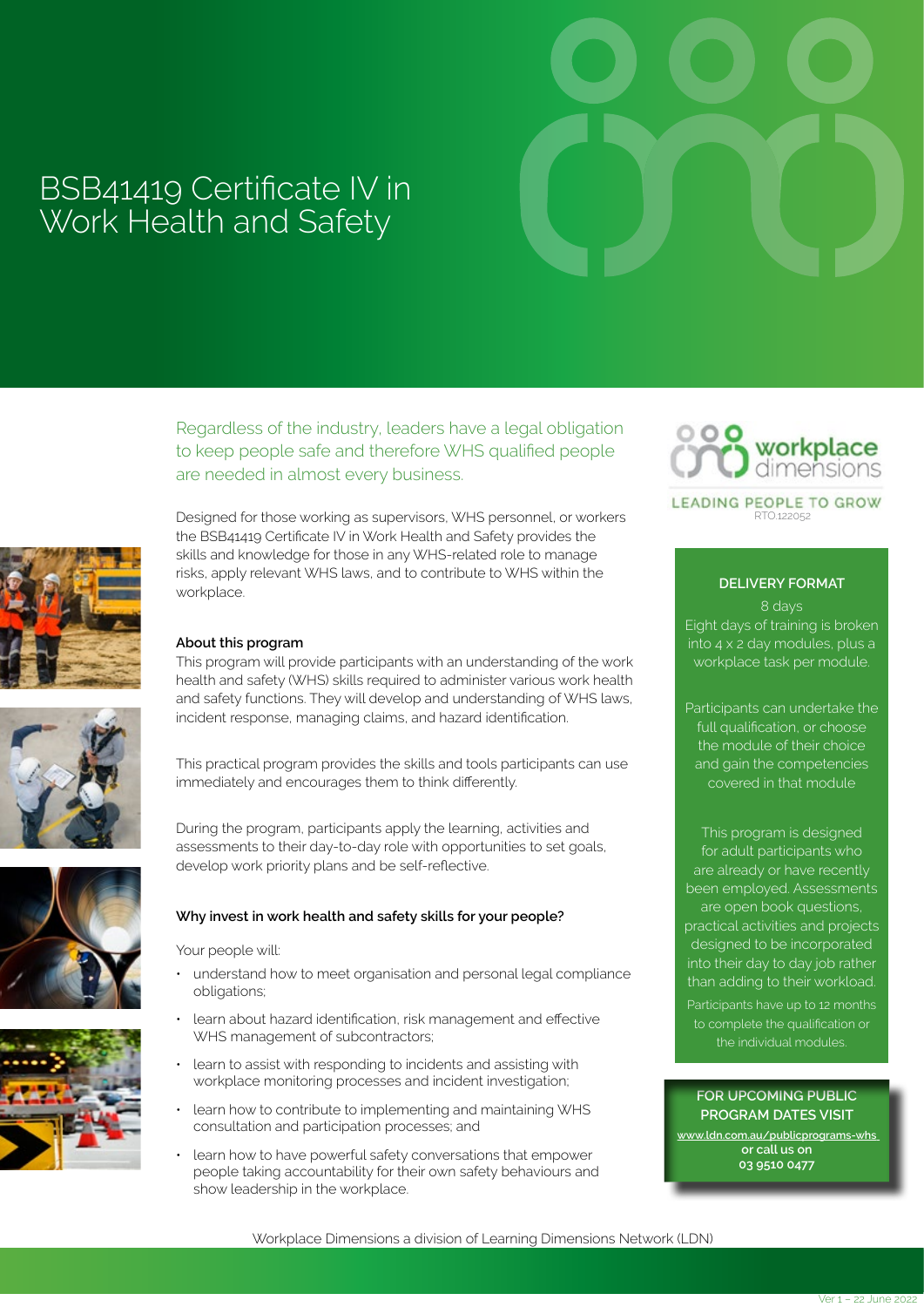# BSB41419 Certificate IV in Work Health and Safety

Regardless of the industry, leaders have a legal obligation to keep people safe and therefore WHS qualified people are needed in almost every business.









Designed for those working as supervisors, WHS personnel, or workers the BSB41419 Certificate IV in Work Health and Safety provides the skills and knowledge for those in any WHS-related role to manage risks, apply relevant WHS laws, and to contribute to WHS within the workplace.

#### **About this program**

This program will provide participants with an understanding of the work health and safety (WHS) skills required to administer various work health and safety functions. They will develop and understanding of WHS laws, incident response, managing claims, and hazard identification.

This practical program provides the skills and tools participants can use immediately and encourages them to think differently.

During the program, participants apply the learning, activities and assessments to their day-to-day role with opportunities to set goals, develop work priority plans and be self-reflective.

#### **Why invest in work health and safety skills for your people?**

Your people will:

- understand how to meet organisation and personal legal compliance obligations;
- learn about hazard identification, risk management and effective WHS management of subcontractors;
- learn to assist with responding to incidents and assisting with workplace monitoring processes and incident investigation;
- learn how to contribute to implementing and maintaining WHS consultation and participation processes; and
- learn how to have powerful safety conversations that empower people taking accountability for their own safety behaviours and show leadership in the workplace.



LEADING PEOPLE TO GROW  $PTO12205$ 

### **DELIVERY FORMAT**

8 days Eight days of training is broken into 4 x 2 day modules, plus a workplace task per module.

Participants can undertake the full qualification, or choose the module of their choice and gain the competencies covered in that module

This program is designed for adult participants who are already or have recently been employed. Assessments are open book questions, practical activities and projects designed to be incorporated into their day to day job rather than adding to their workload.

Participants have up to 12 months to complete the qualification or the individual modules.

#### **FOR UPCOMING PUBLIC PROGRAM DATES VISIT**

**www.ldn.com.au/publicprograms-whs or call us on 03 9510 0477**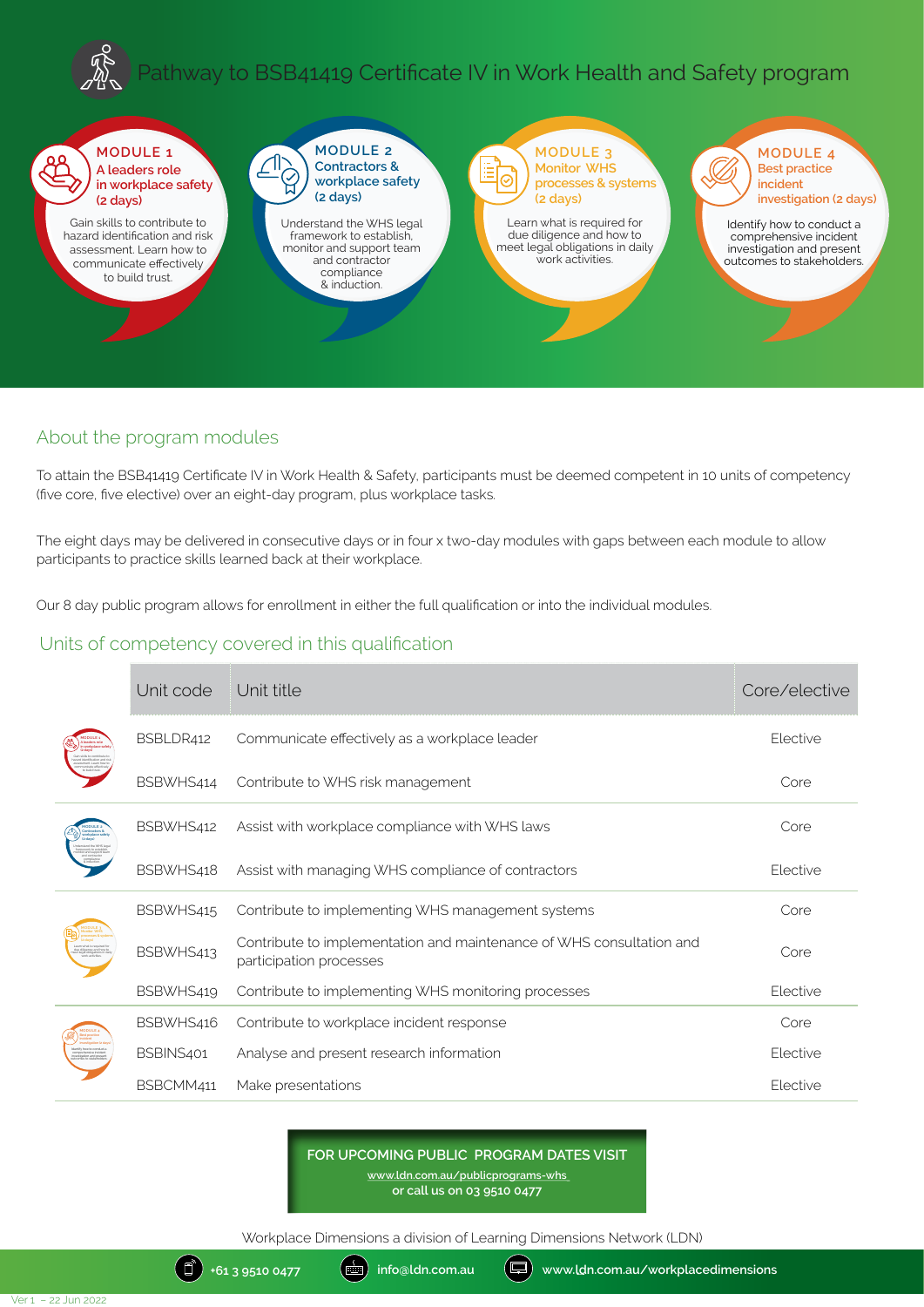# Pathway to BSB41419 Certificate IV in Work Health and Safety program



## About the program modules

To attain the BSB41419 Certificate IV in Work Health & Safety, participants must be deemed competent in 10 units of competency (five core, five elective) over an eight-day program, plus workplace tasks.

The eight days may be delivered in consecutive days or in four x two-day modules with gaps between each module to allow participants to practice skills learned back at their workplace.

Our 8 day public program allows for enrollment in either the full qualification or into the individual modules.

## Units of competency covered in this qualification

|  | Unit code | Unit title                                                                                      | Core/elective |
|--|-----------|-------------------------------------------------------------------------------------------------|---------------|
|  | BSBLDR412 | Communicate effectively as a workplace leader                                                   | Elective      |
|  | BSBWHS414 | Contribute to WHS risk management                                                               | Core          |
|  | BSBWHS412 | Assist with workplace compliance with WHS laws                                                  | Core          |
|  | BSBWHS418 | Assist with managing WHS compliance of contractors                                              | Elective      |
|  | BSBWHS415 | Contribute to implementing WHS management systems                                               | Core          |
|  | BSBWHS413 | Contribute to implementation and maintenance of WHS consultation and<br>participation processes | Core          |
|  | BSBWHS419 | Contribute to implementing WHS monitoring processes                                             | Elective      |
|  | BSBWHS416 | Contribute to workplace incident response                                                       | Core          |
|  | BSBINS401 | Analyse and present research information                                                        | Elective      |
|  | BSBCMM411 | Make presentations                                                                              | Elective      |

**FOR UPCOMING PUBLIC PROGRAM DATES VISIT**

**www.ldn.com.au/publicprograms-whs or call us on 03 9510 0477**

Workplace Dimensions a division of Learning Dimensions Network (LDN)

(日)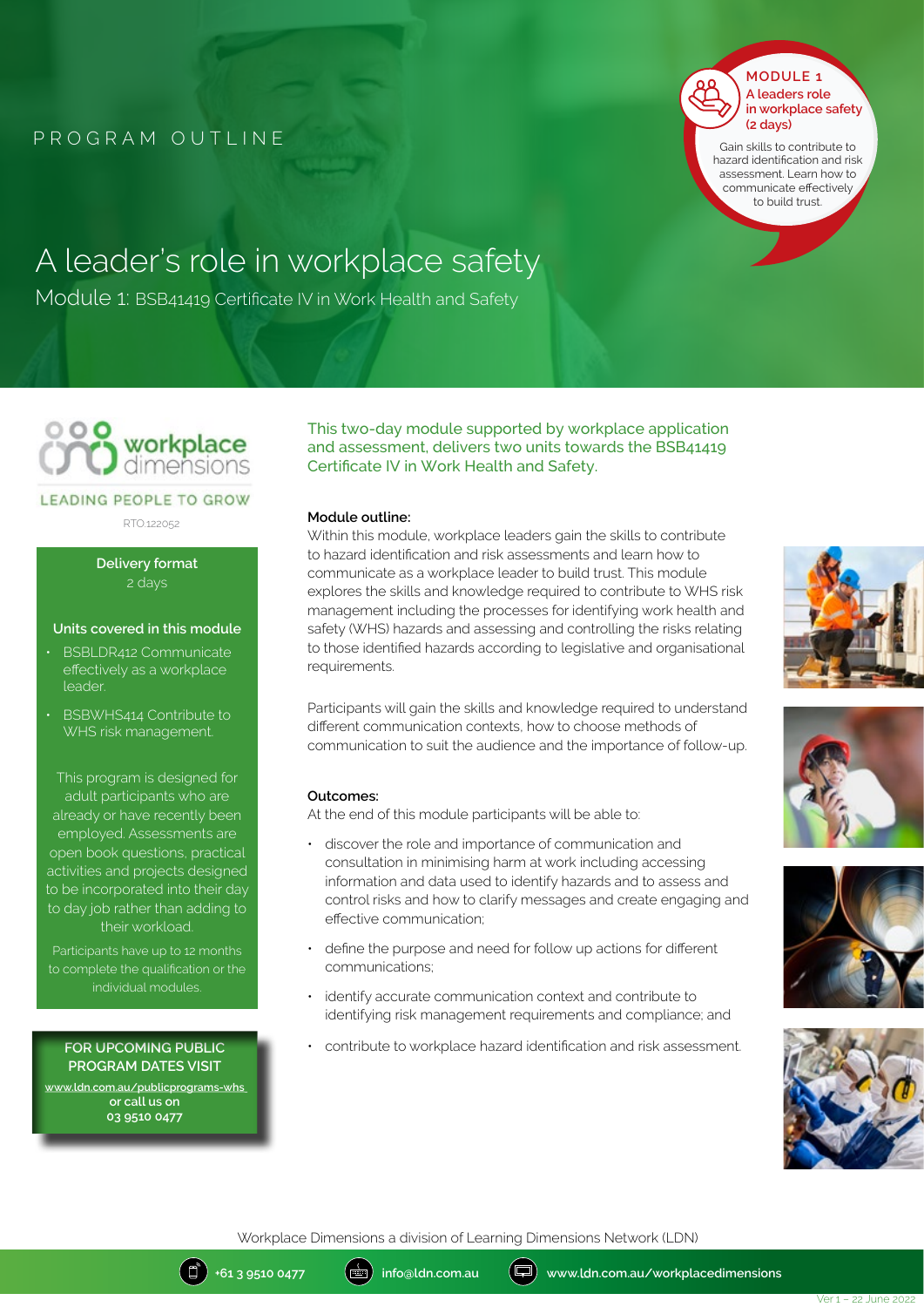

Gain skills to contribute to hazard identification and risk assessment. Learn how to communicate effectively to build trust.

# A leader's role in workplace safety

Module 1: BSB41419 Certificate IV in Work Health and Safety



#### **LEADING PEOPLE TO GROW**

RTO.122052

**Delivery format** 2 days

#### **Units covered in this module**

- BSBLDR412 Communicate effectively as a workplace leader.
- BSBWHS414 Contribute to WHS risk management.

This program is designed for adult participants who are already or have recently been employed. Assessments are open book questions, practical activities and projects designed to be incorporated into their day to day job rather than adding to their workload.

Participants have up to 12 months individual modules.

**FOR UPCOMING PUBLIC PROGRAM DATES VISIT www.ldn.com.au/publicprograms-whs or call us on 03 9510 0477**

This two-day module supported by workplace application and assessment, delivers two units towards the BSB41419 Certificate IV in Work Health and Safety.

#### **Module outline:**

Within this module, workplace leaders gain the skills to contribute to hazard identification and risk assessments and learn how to communicate as a workplace leader to build trust. This module explores the skills and knowledge required to contribute to WHS risk management including the processes for identifying work health and safety (WHS) hazards and assessing and controlling the risks relating to those identified hazards according to legislative and organisational requirements.

Participants will gain the skills and knowledge required to understand different communication contexts, how to choose methods of communication to suit the audience and the importance of follow-up.

#### **Outcomes:**

At the end of this module participants will be able to:

- discover the role and importance of communication and consultation in minimising harm at work including accessing information and data used to identify hazards and to assess and control risks and how to clarify messages and create engaging and effective communication;
- define the purpose and need for follow up actions for different communications;
- identify accurate communication context and contribute to identifying risk management requirements and compliance; and
- contribute to workplace hazard identification and risk assessment.









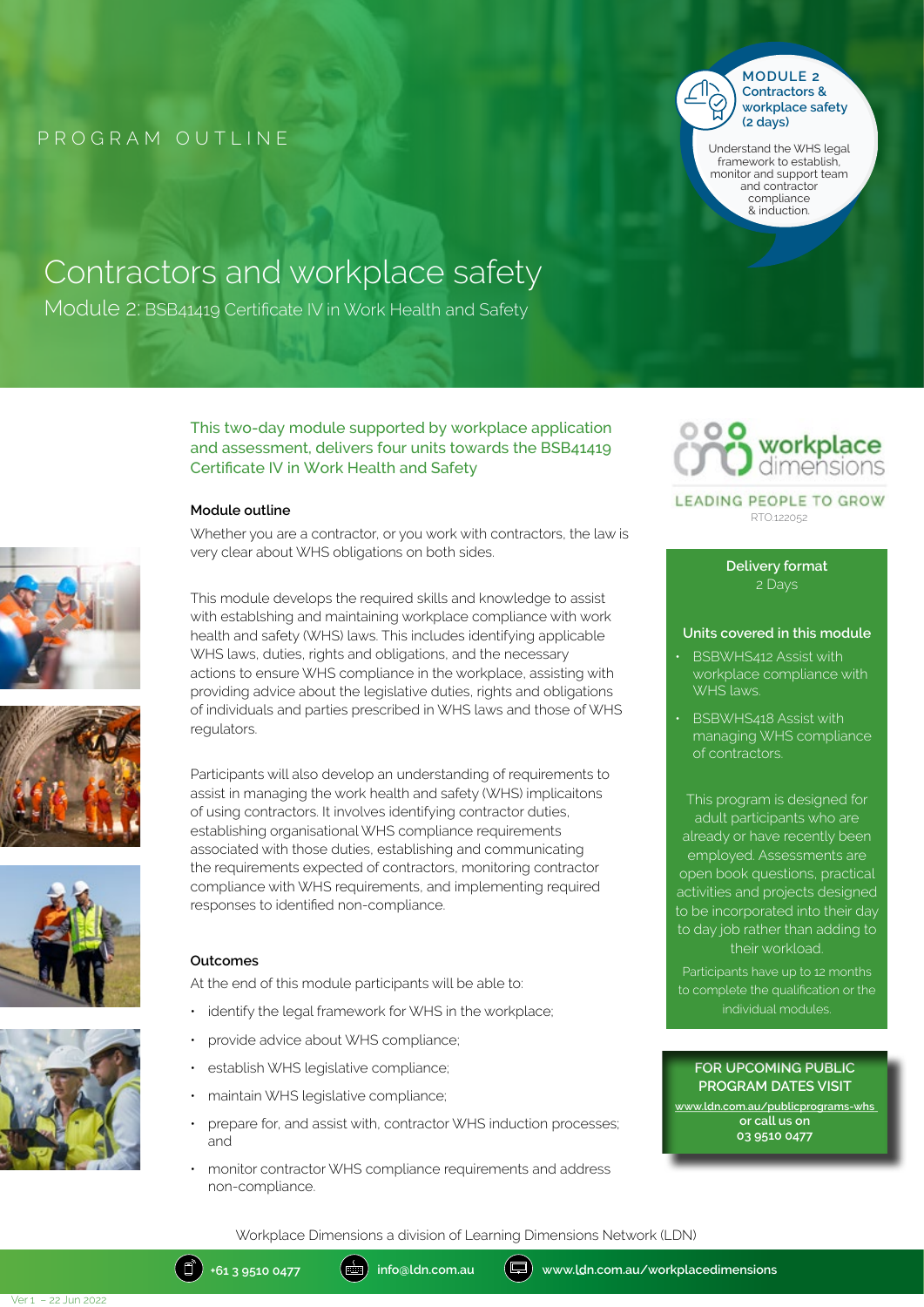

**Contractors & workplace safety (2 days)** Understand the WHS legal

framework to establish, monitor and support team and contractor compliance & induction.

# Contractors and workplace safety

Module 2: BSB41419 Certificate IV in Work Health and Safety









This two-day module supported by workplace application and assessment, delivers four units towards the BSB41419 Certificate IV in Work Health and Safety

#### **Module outline**

Whether you are a contractor, or you work with contractors, the law is very clear about WHS obligations on both sides.

workplace

LEADING PEOPLE TO GROW RTO.122052

> **Delivery format** 2 Days

#### **Units covered in this module**

- BSBWHS412 Assist with workplace compliance with WHS laws.
- **BSBWHS418 Assist with** managing WHS compliance of contractors.

This program is designed for adult participants who are already or have recently been employed. Assessments are open book questions, practical activities and projects designed to be incorporated into their day to day job rather than adding to their workload.

Participants have up to 12 months to complete the qualification or the individual modules.

#### **FOR UPCOMING PUBLIC PROGRAM DATES VISIT**

**www.ldn.com.au/publicprograms-whs or call us on 03 9510 0477**

This module develops the required skills and knowledge to assist with establshing and maintaining workplace compliance with work health and safety (WHS) laws. This includes identifying applicable WHS laws, duties, rights and obligations, and the necessary actions to ensure WHS compliance in the workplace, assisting with providing advice about the legislative duties, rights and obligations of individuals and parties prescribed in WHS laws and those of WHS regulators.

Participants will also develop an understanding of requirements to assist in managing the work health and safety (WHS) implicaitons of using contractors. It involves identifying contractor duties, establishing organisational WHS compliance requirements associated with those duties, establishing and communicating the requirements expected of contractors, monitoring contractor compliance with WHS requirements, and implementing required responses to identified non-compliance.

#### **Outcomes**

At the end of this module participants will be able to:

- identify the legal framework for WHS in the workplace;
- provide advice about WHS compliance;
- establish WHS legislative compliance;
- maintain WHS legislative compliance;
- prepare for, and assist with, contractor WHS induction processes; and
- monitor contractor WHS compliance requirements and address non-compliance.

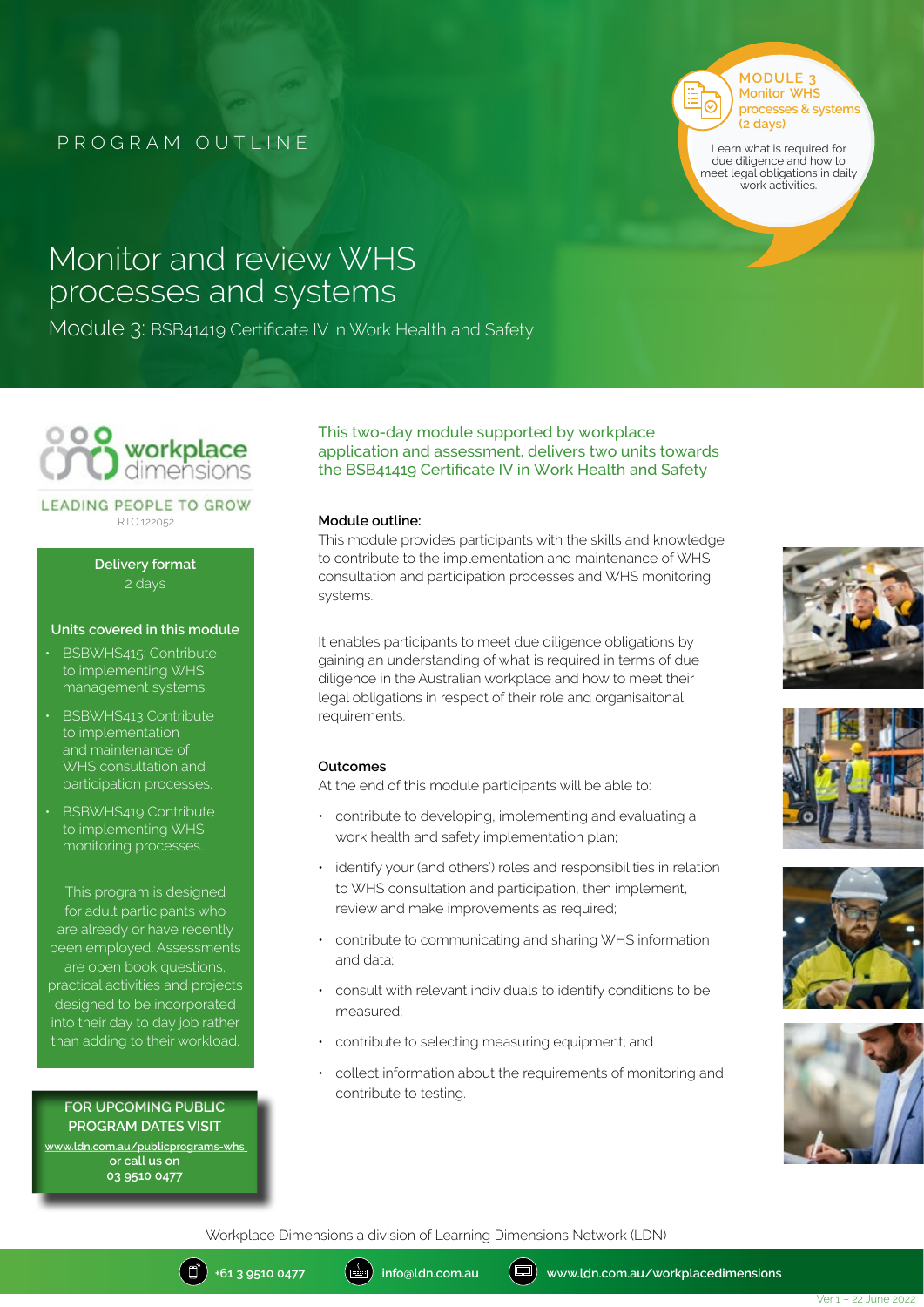**MODULE 3 Monitor WHS processes & systems (2 days)**

Learn what is required for due diligence and how to meet legal obligations in daily work activities.

## Monitor and review WHS processes and systems

Module 3: BSB41419 Certificate IV in Work Health and Safety



#### LEADING PEOPLE TO GROW RTO.122052

**Delivery format** 2 days

#### **Units covered in this module**

- BSBWHS415: Contribute to implementing WHS management systems.
- BSBWHS413 Contribute to implementation and maintenance of WHS consultation and participation processes.
- BSBWHS419 Contribute to implementing WHS monitoring processes.

This program is designed for adult participants who are already or have recently been employed. Assessments are open book questions, practical activities and projects designed to be incorporated into their day to day job rather than adding to their workload.

#### **FOR UPCOMING PUBLIC PROGRAM DATES VISIT**

**www.ldn.com.au/publicprograms-whs or call us on 03 9510 0477**

#### This two-day module supported by workplace application and assessment, delivers two units towards the BSB41419 Certificate IV in Work Health and Safety

#### **Module outline:**

This module provides participants with the skills and knowledge to contribute to the implementation and maintenance of WHS consultation and participation processes and WHS monitoring systems.

It enables participants to meet due diligence obligations by gaining an understanding of what is required in terms of due diligence in the Australian workplace and how to meet their legal obligations in respect of their role and organisaitonal requirements.

#### **Outcomes**

At the end of this module participants will be able to:

- contribute to developing, implementing and evaluating a work health and safety implementation plan;
- identify your (and others') roles and responsibilities in relation to WHS consultation and participation, then implement, review and make improvements as required;
- contribute to communicating and sharing WHS information and data;
- consult with relevant individuals to identify conditions to be measured;
- contribute to selecting measuring equipment; and
- collect information about the requirements of monitoring and contribute to testing.